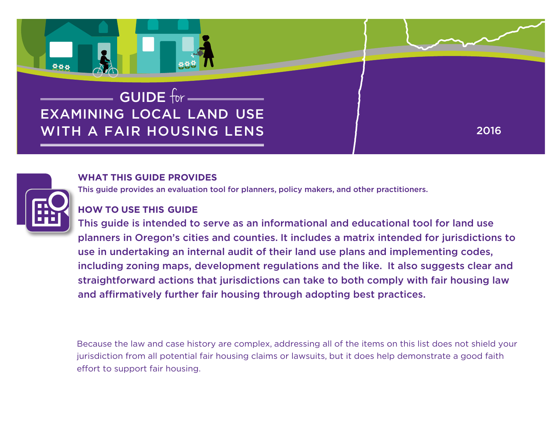



### **WHAT THIS GUIDE PROVIDES**

This guide provides an evaluation tool for planners, policy makers, and other practitioners.

### **HOW TO USE THIS GUIDE**

this guide is intended to serve as an informational and educational tool for land use planners in oregon's cities and counties. it includes a matrix intended for jurisdictions to use in undertaking an internal audit of their land use plans and implementing codes, including zoning maps, development regulations and the like. it also suggests clear and straightforward actions that jurisdictions can take to both comply with fair housing law and affirmatively further fair housing through adopting best practices.

Because the law and case history are complex, addressing all of the items on this list does not shield your jurisdiction from all potential fair housing claims or lawsuits, but it does help demonstrate a good faith effort to support fair housing.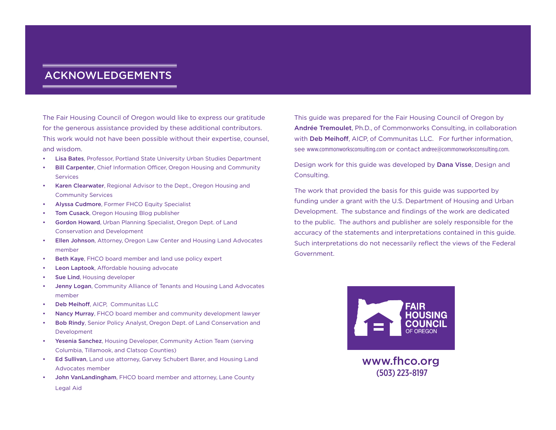### Acknowledgements

The Fair Housing Council of Oregon would like to express our gratitude for the generous assistance provided by these additional contributors. This work would not have been possible without their expertise, counsel, and wisdom.

- Lisa Bates, Professor, Portland State University Urban Studies Department
- **Bill Carpenter, Chief Information Officer, Oregon Housing and Community Services**
- Karen Clearwater, Regional Advisor to the Dept., Oregon Housing and Community Services
- Alyssa Cudmore, Former FHCO Equity Specialist
- Tom Cusack, Oregon Housing Blog publisher
- Gordon Howard, Urban Planning Specialist, Oregon Dept. of Land Conservation and Development
- Ellen Johnson, Attorney, Oregon Law Center and Housing Land Advocates member
- Beth Kaye, FHCO board member and land use policy expert
- Leon Laptook, Affordable housing advocate
- Sue Lind, Housing developer
- Jenny Logan, Community Alliance of Tenants and Housing Land Advocates member
- Deb Meihoff, AICP, Communitas LLC
- Nancy Murray, FHCO board member and community development lawyer
- Bob Rindy, Senior Policy Analyst, Oregon Dept. of Land Conservation and Development
- Yesenia Sanchez, Housing Developer, Community Action Team (serving Columbia, Tillamook, and Clatsop Counties)
- Ed Sullivan, Land use attorney, Garvey Schubert Barer, and Housing Land Advocates member
- John VanLandingham, FHCO board member and attorney, Lane County Legal Aid

This guide was prepared for the Fair Housing Council of Oregon by Andrée Tremoulet, Ph.D., of Commonworks Consulting, in collaboration with **Deb Meihoff**, AICP, of Communitas LLC. For further information, see www.commonworksconsulting.com or contact andree@commonworksconsulting.com.

Design work for this guide was developed by Dana Visse, Design and Consulting.

The work that provided the basis for this guide was supported by funding under a grant with the U.S. Department of Housing and Urban Development. The substance and findings of the work are dedicated to the public. The authors and publisher are solely responsible for the accuracy of the statements and interpretations contained in this guide. Such interpretations do not necessarily reflect the views of the Federal Government.



www.fhco.org **Process Purple Field with Revered Text and Symbol** (503) 223-8197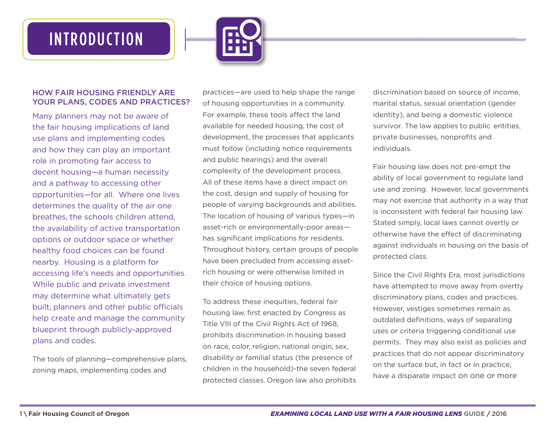# **INTRODUCTION**



#### How Fair Housing Friendly Are Your Plans, Codes and Practices?

Many planners may not be aware of the fair housing implications of land use plans and implementing codes and how they can play an important role in promoting fair access to decent housing—a human necessity and a pathway to accessing other opportunities—for all. Where one lives determines the quality of the air one breathes, the schools children attend, the availability of active transportation options or outdoor space or whether healthy food choices can be found nearby. Housing is a platform for accessing life's needs and opportunities. While public and private investment may determine what ultimately gets built, planners and other public officials help create and manage the community blueprint through publicly-approved plans and codes.

The tools of planning—comprehensive plans, zoning maps, implementing codes and

practices—are used to help shape the range of housing opportunities in a community. For example, these tools affect the land available for needed housing, the cost of development, the processes that applicants must follow (including notice requirements and public hearings) and the overall complexity of the development process. All of these items have a direct impact on the cost, design and supply of housing for people of varying backgrounds and abilities. The location of housing of various types—in asset-rich or environmentally-poor areas has significant implications for residents. Throughout history, certain groups of people have been precluded from accessing assetrich housing or were otherwise limited in their choice of housing options.

To address these inequities, federal fair housing law, first enacted by Congress as Title VIII of the Civil Rights Act of 1968, prohibits discrimination in housing based on race, color, religion, national origin, sex, disability or familial status (the presence of children in the household)-the seven federal protected classes. Oregon law also prohibits discrimination based on source of income, marital status, sexual orientation (gender identity), and being a domestic violence survivor. The law applies to public entities, private businesses, nonprofits and individuals.

Fair housing law does not pre-empt the ability of local government to regulate land use and zoning. However, local governments may not exercise that authority in a way that is inconsistent with federal fair housing law. Stated simply, local laws cannot overtly or otherwise have the effect of discriminating against individuals in housing on the basis of protected class.

Since the Civil Rights Era, most jurisdictions have attempted to move away from overtly discriminatory plans, codes and practices. However, vestiges sometimes remain as outdated definitions, ways of separating uses or criteria triggering conditional use permits. They may also exist as policies and practices that do not appear discriminatory on the surface but, in fact or in practice, have a disparate impact on one or more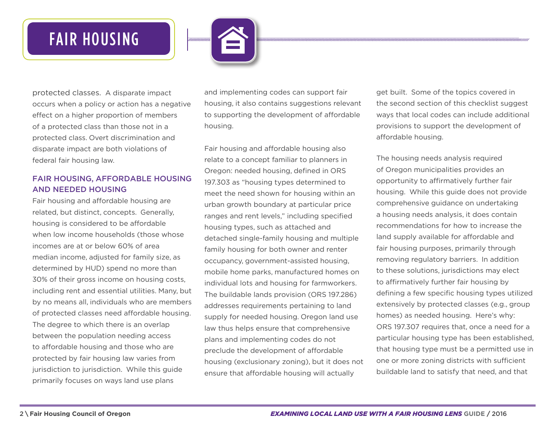# FAIR HOUSING



protected classes. A disparate impact occurs when a policy or action has a negative effect on a higher proportion of members of a protected class than those not in a protected class. Overt discrimination and disparate impact are both violations of federal fair housing law.

#### Fair Housing, Affordable Housing and Needed Housing

Fair housing and affordable housing are related, but distinct, concepts. Generally, housing is considered to be affordable when low income households (those whose incomes are at or below 60% of area median income, adjusted for family size, as determined by HUD) spend no more than 30% of their gross income on housing costs, including rent and essential utilities. Many, but by no means all, individuals who are members of protected classes need affordable housing. The degree to which there is an overlap between the population needing access to affordable housing and those who are protected by fair housing law varies from jurisdiction to jurisdiction. While this guide primarily focuses on ways land use plans

and implementing codes can support fair housing, it also contains suggestions relevant to supporting the development of affordable housing.

Fair housing and affordable housing also relate to a concept familiar to planners in Oregon: needed housing, defined in ORS 197.303 as "housing types determined to meet the need shown for housing within an urban growth boundary at particular price ranges and rent levels," including specified housing types, such as attached and detached single-family housing and multiple family housing for both owner and renter occupancy, government-assisted housing, mobile home parks, manufactured homes on individual lots and housing for farmworkers. The buildable lands provision (ORS 197.286) addresses requirements pertaining to land supply for needed housing. Oregon land use law thus helps ensure that comprehensive plans and implementing codes do not preclude the development of affordable housing (exclusionary zoning), but it does not ensure that affordable housing will actually

get built. Some of the topics covered in the second section of this checklist suggest ways that local codes can include additional provisions to support the development of affordable housing.

The housing needs analysis required of Oregon municipalities provides an opportunity to affirmatively further fair housing. While this guide does not provide comprehensive guidance on undertaking a housing needs analysis, it does contain recommendations for how to increase the land supply available for affordable and fair housing purposes, primarily through removing regulatory barriers. In addition to these solutions, jurisdictions may elect to affirmatively further fair housing by defining a few specific housing types utilized extensively by protected classes (e.g., group homes) as needed housing. Here's why: ORS 197.307 requires that, once a need for a particular housing type has been established, that housing type must be a permitted use in one or more zoning districts with sufficient buildable land to satisfy that need, and that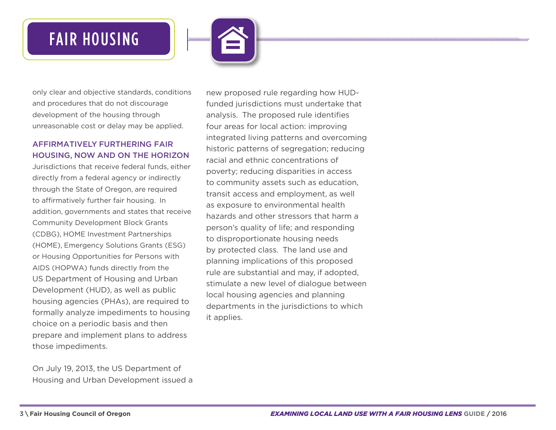# FAIR HOUSING



only clear and objective standards, conditions and procedures that do not discourage development of the housing through unreasonable cost or delay may be applied.

#### Affirmatively Furthering Fair Housing, Now and On the Horizon

Jurisdictions that receive federal funds, either directly from a federal agency or indirectly through the State of Oregon, are required to affirmatively further fair housing. In addition, governments and states that receive Community Development Block Grants (CDBG), HOME Investment Partnerships (HOME), Emergency Solutions Grants (ESG) or Housing Opportunities for Persons with AIDS (HOPWA) funds directly from the US Department of Housing and Urban Development (HUD), as well as public housing agencies (PHAs), are required to formally analyze impediments to housing choice on a periodic basis and then prepare and implement plans to address those impediments.

On July 19, 2013, the US Department of Housing and Urban Development issued a new proposed rule regarding how HUDfunded jurisdictions must undertake that analysis. The proposed rule identifies four areas for local action: improving integrated living patterns and overcoming historic patterns of segregation; reducing racial and ethnic concentrations of poverty; reducing disparities in access to community assets such as education, transit access and employment, as well as exposure to environmental health hazards and other stressors that harm a person's quality of life; and responding to disproportionate housing needs by protected class. The land use and planning implications of this proposed rule are substantial and may, if adopted, stimulate a new level of dialogue between local housing agencies and planning departments in the jurisdictions to which it applies.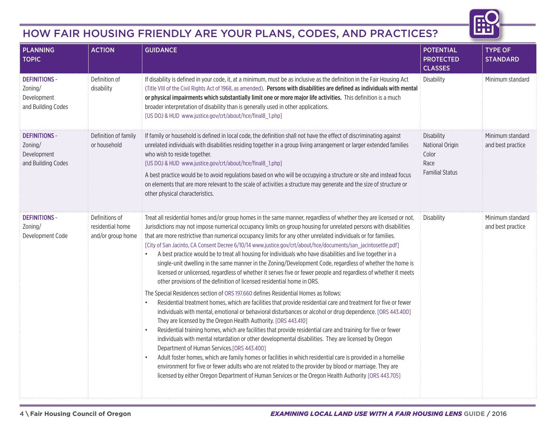## How Fair Housing Friendly Are Your Plans, Codes, and Practices?

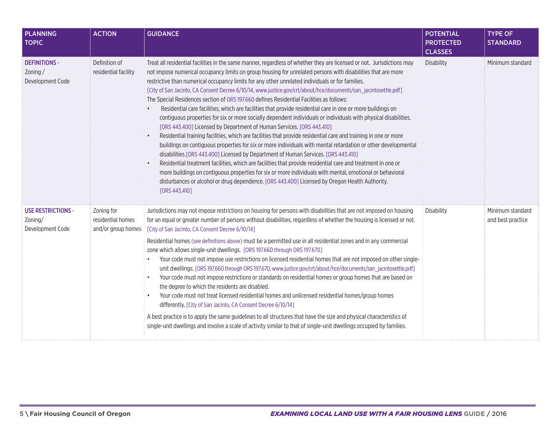| <b>PLANNING</b><br><b>TOPIC</b>                          | <b>ACTION</b>                                         | <b>GUIDANCE</b>                                                                                                                                                                                                                                                                                                                                                                                                                                                                                                                                                                                                                                                                                                                                                                                                                                                                                                                                                                                                                                                                                                                                                                                                                                                                                                                                                                                                                                                                                                                                                                       | <b>POTENTIAL</b><br><b>PROTECTED</b><br><b>CLASSES</b> | <b>TYPE OF</b><br><b>STANDARD</b>     |
|----------------------------------------------------------|-------------------------------------------------------|---------------------------------------------------------------------------------------------------------------------------------------------------------------------------------------------------------------------------------------------------------------------------------------------------------------------------------------------------------------------------------------------------------------------------------------------------------------------------------------------------------------------------------------------------------------------------------------------------------------------------------------------------------------------------------------------------------------------------------------------------------------------------------------------------------------------------------------------------------------------------------------------------------------------------------------------------------------------------------------------------------------------------------------------------------------------------------------------------------------------------------------------------------------------------------------------------------------------------------------------------------------------------------------------------------------------------------------------------------------------------------------------------------------------------------------------------------------------------------------------------------------------------------------------------------------------------------------|--------------------------------------------------------|---------------------------------------|
| <b>DEFINITIONS -</b><br>Zoning/<br>Development Code      | Definition of<br>residential facility                 | Treat all residential facilities in the same manner, regardless of whether they are licensed or not. Jurisdictions may<br>not impose numerical occupancy limits on group housing for unrelated persons with disabilities that are more<br>restrictive than numerical occupancy limits for any other unrelated individuals or for families.<br>[City of San Jacinto, CA Consent Decree 6/10/14, www.justice.gov/crt/about/hce/documents/san_jacintosettle.pdf]<br>The Special Residences section of ORS 197.660 defines Residential Facilities as follows:<br>Residential care facilities, which are facilities that provide residential care in one or more buildings on<br>$\bullet$<br>contiguous properties for six or more socially dependent individuals or individuals with physical disabilities.<br>[ORS 443.400] Licensed by Department of Human Services. [ORS 443.410]<br>Residential training facilities, which are facilities that provide residential care and training in one or more<br>$\bullet$<br>buildings on contiguous properties for six or more individuals with mental retardation or other developmental<br>disabilities. [ORS 443.400] Licensed by Department of Human Services. [ORS 443.410]<br>Residential treatment facilities, which are facilities that provide residential care and treatment in one or<br>$\bullet$<br>more buildings on contiguous properties for six or more individuals with mental, emotional or behavioral<br>disturbances or alcohol or drug dependence. [ORS 443.400] Licensed by Oregon Health Authority.<br>[ORS 443.410] | <b>Disability</b>                                      | Minimum standard                      |
| <b>USE RESTRICTIONS -</b><br>Zoning/<br>Development Code | Zoning for<br>residential homes<br>and/or group homes | Jurisdictions may not impose restrictions on housing for persons with disabilities that are not imposed on housing<br>for an equal or greater number of persons without disabilities, regardless of whether the housing is licensed or not.<br>[City of San Jacinto, CA Consent Decree 6/10/14]<br>Residential homes (see definitions above) must be a permitted use in all residential zones and in any commercial<br>zone which allows single-unit dwellings. [ORS 197.660 through ORS 197.670]<br>Your code must not impose use restrictions on licensed residential homes that are not imposed on other single-<br>$\bullet$<br>unit dwellings. [ORS 197.660 through ORS 197.670, www.justice.gov/crt/about/hce/documents/san_jacintosettle.pdf]<br>Your code must not impose restrictions or standards on residential homes or group homes that are based on<br>the degree to which the residents are disabled.<br>Your code must not treat licensed residential homes and unlicensed residential homes/group homes<br>differently. [City of San Jacinto, CA Consent Decree 6/10/14]<br>A best practice is to apply the same guidelines to all structures that have the size and physical characteristics of<br>single-unit dwellings and involve a scale of activity similar to that of single-unit dwellings occupied by families.                                                                                                                                                                                                                                             | <b>Disability</b>                                      | Minimum standard<br>and best practice |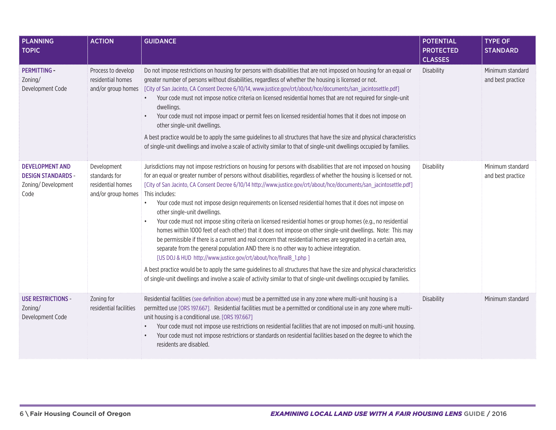| <b>PLANNING</b><br><b>TOPIC</b>                                                   | <b>ACTION</b>                                                           | <b>GUIDANCE</b>                                                                                                                                                                                                                                                                                                                                                                                                                                                                                                                                                                                                                                                                                                                                                                                                                                                                                                                                                                                                                                                                                                                                                                                                                                                                                                      | <b>POTENTIAL</b><br><b>PROTECTED</b><br><b>CLASSES</b> | <b>TYPE OF</b><br><b>STANDARD</b>     |
|-----------------------------------------------------------------------------------|-------------------------------------------------------------------------|----------------------------------------------------------------------------------------------------------------------------------------------------------------------------------------------------------------------------------------------------------------------------------------------------------------------------------------------------------------------------------------------------------------------------------------------------------------------------------------------------------------------------------------------------------------------------------------------------------------------------------------------------------------------------------------------------------------------------------------------------------------------------------------------------------------------------------------------------------------------------------------------------------------------------------------------------------------------------------------------------------------------------------------------------------------------------------------------------------------------------------------------------------------------------------------------------------------------------------------------------------------------------------------------------------------------|--------------------------------------------------------|---------------------------------------|
| <b>PERMITTING -</b><br>Zoning/<br>Development Code                                | Process to develop<br>residential homes<br>and/or group homes           | Do not impose restrictions on housing for persons with disabilities that are not imposed on housing for an equal or<br>greater number of persons without disabilities, regardless of whether the housing is licensed or not.<br>[fCity of San Jacinto, CA Consent Decree 6/10/14, www.justice.gov/crt/about/hce/documents/san_jacintosettle.pdf]<br>Your code must not impose notice criteria on licensed residential homes that are not required for single-unit<br>dwellings.<br>Your code must not impose impact or permit fees on licensed residential homes that it does not impose on<br>other single-unit dwellings.<br>A best practice would be to apply the same guidelines to all structures that have the size and physical characteristics<br>of single-unit dwellings and involve a scale of activity similar to that of single-unit dwellings occupied by families.                                                                                                                                                                                                                                                                                                                                                                                                                                    | <b>Disability</b>                                      | Minimum standard<br>and best practice |
| <b>DEVELOPMENT AND</b><br><b>DESIGN STANDARDS -</b><br>Zoning/Development<br>Code | Development<br>standards for<br>residential homes<br>and/or group homes | Jurisdictions may not impose restrictions on housing for persons with disabilities that are not imposed on housing<br>for an equal or greater number of persons without disabilities, regardless of whether the housing is licensed or not.<br>[City of San Jacinto, CA Consent Decree 6/10/14 http://www.justice.gov/crt/about/hce/documents/san_jacintosettle.pdf]<br>This includes:<br>Your code must not impose design requirements on licensed residential homes that it does not impose on<br>$\bullet$<br>other single-unit dwellings.<br>Your code must not impose siting criteria on licensed residential homes or group homes (e.g., no residential<br>homes within 1000 feet of each other) that it does not impose on other single-unit dwellings. Note: This may<br>be permissible if there is a current and real concern that residential homes are segregated in a certain area,<br>separate from the general population AND there is no other way to achieve integration.<br>[US DOJ & HUD http://www.justice.gov/crt/about/hce/final8_1.php ]<br>A best practice would be to apply the same guidelines to all structures that have the size and physical characteristics<br>of single-unit dwellings and involve a scale of activity similar to that of single-unit dwellings occupied by families. | Disability                                             | Minimum standard<br>and best practice |
| <b>USE RESTRICTIONS -</b><br>Zoning/<br>Development Code                          | Zoning for<br>residential facilities                                    | Residential facilities (see definition above) must be a permitted use in any zone where multi-unit housing is a<br>permitted use [ORS 197.667]. Residential facilities must be a permitted or conditional use in any zone where multi-<br>unit housing is a conditional use. [ORS 197.667]<br>Your code must not impose use restrictions on residential facilities that are not imposed on multi-unit housing.<br>$\bullet$<br>Your code must not impose restrictions or standards on residential facilities based on the degree to which the<br>residents are disabled.                                                                                                                                                                                                                                                                                                                                                                                                                                                                                                                                                                                                                                                                                                                                             | <b>Disability</b>                                      | Minimum standard                      |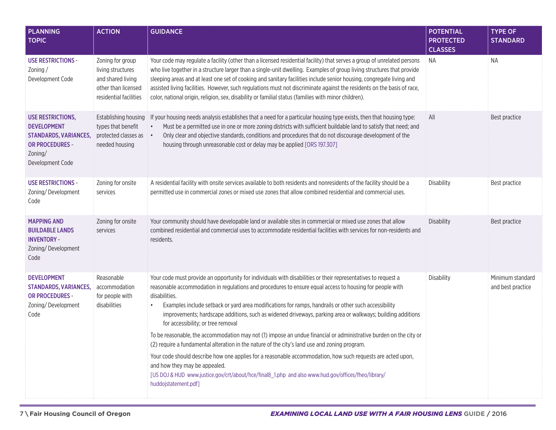| <b>PLANNING</b><br><b>TOPIC</b>                                                                                                         | <b>ACTION</b>                                                                                                                                                                                                                                                                                                                                                                                                                                                                                                                                                                                                                                                                                                                                                                                                                                                                                                                                                                                                                                                                              | <b>GUIDANCE</b>                                                                                                                                                                                                                                                                                                                                                                                                                                                                                                                                                                                             | <b>POTENTIAL</b><br><b>PROTECTED</b><br><b>CLASSES</b> | <b>TYPE OF</b><br><b>STANDARD</b>     |
|-----------------------------------------------------------------------------------------------------------------------------------------|--------------------------------------------------------------------------------------------------------------------------------------------------------------------------------------------------------------------------------------------------------------------------------------------------------------------------------------------------------------------------------------------------------------------------------------------------------------------------------------------------------------------------------------------------------------------------------------------------------------------------------------------------------------------------------------------------------------------------------------------------------------------------------------------------------------------------------------------------------------------------------------------------------------------------------------------------------------------------------------------------------------------------------------------------------------------------------------------|-------------------------------------------------------------------------------------------------------------------------------------------------------------------------------------------------------------------------------------------------------------------------------------------------------------------------------------------------------------------------------------------------------------------------------------------------------------------------------------------------------------------------------------------------------------------------------------------------------------|--------------------------------------------------------|---------------------------------------|
| <b>USE RESTRICTIONS -</b><br>Zoning $/$<br>Development Code                                                                             | Zoning for group<br>living structures<br>and shared living<br>other than licensed<br>residential facilities                                                                                                                                                                                                                                                                                                                                                                                                                                                                                                                                                                                                                                                                                                                                                                                                                                                                                                                                                                                | Your code may regulate a facility (other than a licensed residential facility) that serves a group of unrelated persons<br>who live together in a structure larger than a single-unit dwelling. Examples of group living structures that provide<br>sleeping areas and at least one set of cooking and sanitary facilities include senior housing, congregate living and<br>assisted living facilities. However, such regulations must not discriminate against the residents on the basis of race,<br>color, national origin, religion, sex, disability or familial status (families with minor children). | NA                                                     | NA                                    |
| <b>USE RESTRICTIONS,</b><br><b>DEVELOPMENT</b><br><b>STANDARDS, VARIANCES,</b><br><b>OR PROCEDURES -</b><br>Zoning/<br>Development Code | Establishing housing<br>types that benefit<br>protected classes as<br>needed housing                                                                                                                                                                                                                                                                                                                                                                                                                                                                                                                                                                                                                                                                                                                                                                                                                                                                                                                                                                                                       | If your housing needs analysis establishes that a need for a particular housing type exists, then that housing type:<br>Must be a permitted use in one or more zoning districts with sufficient buildable land to satisfy that need; and<br>$\bullet$<br>Only clear and objective standards, conditions and procedures that do not discourage development of the<br>$\bullet$<br>housing through unreasonable cost or delay may be applied [ORS 197.307]                                                                                                                                                    | All                                                    | Best practice                         |
| <b>USE RESTRICTIONS -</b><br>Zoning/Development<br>Code                                                                                 | Zoning for onsite<br>services                                                                                                                                                                                                                                                                                                                                                                                                                                                                                                                                                                                                                                                                                                                                                                                                                                                                                                                                                                                                                                                              | A residential facility with onsite services available to both residents and nonresidents of the facility should be a<br>permitted use in commercial zones or mixed use zones that allow combined residential and commercial uses.                                                                                                                                                                                                                                                                                                                                                                           | <b>Disability</b>                                      | Best practice                         |
| <b>MAPPING AND</b><br><b>BUILDABLE LANDS</b><br><b>INVENTORY -</b><br>Zoning/Development<br>Code                                        | Zoning for onsite<br>services                                                                                                                                                                                                                                                                                                                                                                                                                                                                                                                                                                                                                                                                                                                                                                                                                                                                                                                                                                                                                                                              | Your community should have developable land or available sites in commercial or mixed use zones that allow<br>combined residential and commercial uses to accommodate residential facilities with services for non-residents and<br>residents.                                                                                                                                                                                                                                                                                                                                                              | <b>Disability</b>                                      | Best practice                         |
| <b>DEVELOPMENT</b><br><b>STANDARDS, VARIANCES,</b><br><b>OR PROCEDURES -</b><br>Zoning/Development<br>Code                              | Reasonable<br>Your code must provide an opportunity for individuals with disabilities or their representatives to request a<br>accommodation<br>reasonable accommodation in regulations and procedures to ensure equal access to housing for people with<br>disabilities.<br>for people with<br>Examples include setback or yard area modifications for ramps, handrails or other such accessibility<br>disabilities<br>$\bullet$<br>improvements; hardscape additions, such as widened driveways, parking area or walkways; building additions<br>for accessibility; or tree removal<br>To be reasonable, the accommodation may not (1) impose an undue financial or administrative burden on the city or<br>(2) require a fundamental alteration in the nature of the city's land use and zoning program.<br>Your code should describe how one applies for a reasonable accommodation, how such requests are acted upon,<br>and how they may be appealed.<br>[US DOJ & HUD www.justice.gov/crt/about/hce/final8_1.php and also www.hud.gov/offices/fheo/library/<br>huddojstatement.pdf] |                                                                                                                                                                                                                                                                                                                                                                                                                                                                                                                                                                                                             | <b>Disability</b>                                      | Minimum standard<br>and best practice |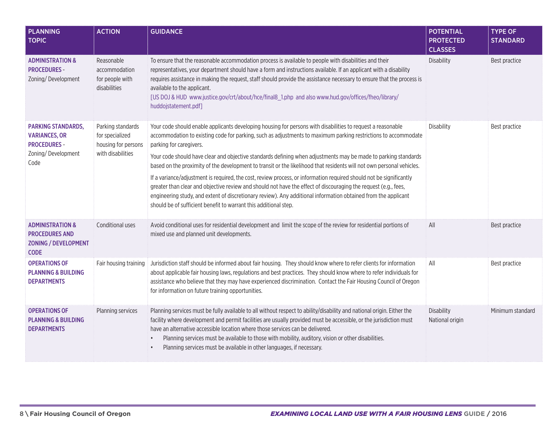| <b>PLANNING</b><br><b>TOPIC</b>                                                                    | <b>ACTION</b>                                                                                                                                                                                                                                                                                                                                                                                                                                                                                                                                                 | <b>GUIDANCE</b>                                                                                                                                                                                                                                                                                                                                                                                                                                                                                                     | <b>POTENTIAL</b><br><b>PROTECTED</b><br><b>CLASSES</b> | <b>TYPE OF</b><br><b>STANDARD</b> |
|----------------------------------------------------------------------------------------------------|---------------------------------------------------------------------------------------------------------------------------------------------------------------------------------------------------------------------------------------------------------------------------------------------------------------------------------------------------------------------------------------------------------------------------------------------------------------------------------------------------------------------------------------------------------------|---------------------------------------------------------------------------------------------------------------------------------------------------------------------------------------------------------------------------------------------------------------------------------------------------------------------------------------------------------------------------------------------------------------------------------------------------------------------------------------------------------------------|--------------------------------------------------------|-----------------------------------|
| <b>ADMINISTRATION &amp;</b><br><b>PROCEDURES -</b><br>Zoning/Development                           | Reasonable<br>accommodation<br>for people with<br>disabilities                                                                                                                                                                                                                                                                                                                                                                                                                                                                                                | To ensure that the reasonable accommodation process is available to people with disabilities and their<br>representatives, your department should have a form and instructions available. If an applicant with a disability<br>requires assistance in making the request, staff should provide the assistance necessary to ensure that the process is<br>available to the applicant.<br>[US DOJ & HUD www.justice.gov/crt/about/hce/final8_1.php and also www.hud.gov/offices/fheo/library/<br>huddojstatement.pdf] | <b>Disability</b>                                      | Best practice                     |
| <b>PARKING STANDARDS,</b><br><b>VARIANCES, OR</b><br><b>PROCEDURES -</b>                           | Parking standards<br>for specialized<br>housing for persons                                                                                                                                                                                                                                                                                                                                                                                                                                                                                                   | Your code should enable applicants developing housing for persons with disabilities to request a reasonable<br>accommodation to existing code for parking, such as adjustments to maximum parking restrictions to accommodate<br>parking for caregivers.                                                                                                                                                                                                                                                            | <b>Disability</b>                                      | Best practice                     |
| Zoning/Development<br>with disabilities<br>Code                                                    |                                                                                                                                                                                                                                                                                                                                                                                                                                                                                                                                                               | Your code should have clear and objective standards defining when adjustments may be made to parking standards<br>based on the proximity of the development to transit or the likelihood that residents will not own personal vehicles.                                                                                                                                                                                                                                                                             |                                                        |                                   |
|                                                                                                    |                                                                                                                                                                                                                                                                                                                                                                                                                                                                                                                                                               | If a variance/adjustment is required, the cost, review process, or information required should not be significantly<br>greater than clear and objective review and should not have the effect of discouraging the request (e.g., fees,<br>engineering study, and extent of discretionary review). Any additional information obtained from the applicant<br>should be of sufficient benefit to warrant this additional step.                                                                                        |                                                        |                                   |
| <b>ADMINISTRATION &amp;</b><br><b>PROCEDURES AND</b><br><b>ZONING / DEVELOPMENT</b><br><b>CODE</b> | Conditional uses                                                                                                                                                                                                                                                                                                                                                                                                                                                                                                                                              | Avoid conditional uses for residential development and limit the scope of the review for residential portions of<br>mixed use and planned unit developments.                                                                                                                                                                                                                                                                                                                                                        | All                                                    | Best practice                     |
| <b>OPERATIONS OF</b><br><b>PLANNING &amp; BUILDING</b><br><b>DEPARTMENTS</b>                       | Fair housing training                                                                                                                                                                                                                                                                                                                                                                                                                                                                                                                                         | Jurisdiction staff should be informed about fair housing. They should know where to refer clients for information<br>about applicable fair housing laws, regulations and best practices. They should know where to refer individuals for<br>assistance who believe that they may have experienced discrimination. Contact the Fair Housing Council of Oregon<br>for information on future training opportunities.                                                                                                   | All                                                    | Best practice                     |
| <b>OPERATIONS OF</b><br><b>PLANNING &amp; BUILDING</b><br><b>DEPARTMENTS</b>                       | Planning services<br>Planning services must be fully available to all without respect to ability/disability and national origin. Either the<br>facility where development and permit facilities are usually provided must be accessible, or the jurisdiction must<br>have an alternative accessible location where those services can be delivered.<br>Planning services must be available to those with mobility, auditory, vision or other disabilities.<br>$\bullet$<br>Planning services must be available in other languages, if necessary.<br>$\bullet$ |                                                                                                                                                                                                                                                                                                                                                                                                                                                                                                                     | <b>Disability</b><br>National origin                   | Minimum standard                  |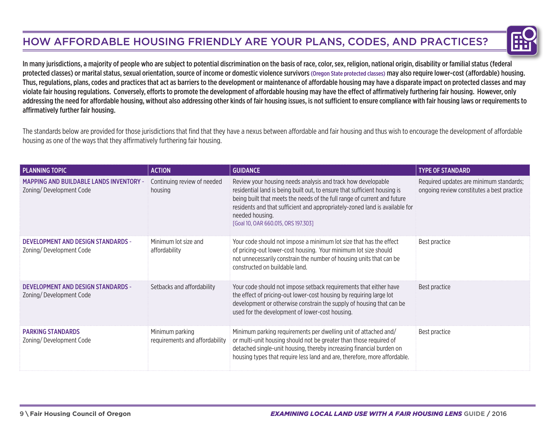## How Affordable Housing Friendly Are Your Plans, Codes, and Practices?



In many jurisdictions, a majority of people who are subject to potential discrimination on the basis of race, color, sex, religion, national origin, disability or familial status (federal protected classes) or marital status, sexual orientation, source of income or domestic violence survivors (Oregon State protected classes) may also require lower-cost (affordable) housing. Thus, regulations, plans, codes and practices that act as barriers to the development or maintenance of affordable housing may have a disparate impact on protected classes and may violate fair housing regulations. Conversely, efforts to promote the development of affordable housing may have the effect of affirmatively furthering fair housing. However, only addressing the need for affordable housing, without also addressing other kinds of fair housing issues, is not sufficient to ensure compliance with fair housing laws or requirements to affirmatively further fair housing.

The standards below are provided for those jurisdictions that find that they have a nexus between affordable and fair housing and thus wish to encourage the development of affordable housing as one of the ways that they affirmatively furthering fair housing.

| <b>PLANNING TOPIC</b>                                                     | <b>ACTION</b>                                     | <b>GUIDANCE</b>                                                                                                                                                                                                                                                                                                                                                | <b>TYPE OF STANDARD</b>                                                               |
|---------------------------------------------------------------------------|---------------------------------------------------|----------------------------------------------------------------------------------------------------------------------------------------------------------------------------------------------------------------------------------------------------------------------------------------------------------------------------------------------------------------|---------------------------------------------------------------------------------------|
| <b>MAPPING AND BUILDABLE LANDS INVENTORY -</b><br>Zoning/Development Code | Continuing review of needed<br>housing            | Review your housing needs analysis and track how developable<br>residential land is being built out, to ensure that sufficient housing is<br>being built that meets the needs of the full range of current and future<br>residents and that sufficient and appropriately-zoned land is available for<br>needed housing.<br>[Goal 10, OAR 660.015, ORS 197.303] | Required updates are minimum standards;<br>ongoing review constitutes a best practice |
| <b>DEVELOPMENT AND DESIGN STANDARDS -</b><br>Zoning/Development Code      | Minimum lot size and<br>affordability             | Your code should not impose a minimum lot size that has the effect<br>of pricing-out lower-cost housing. Your minimum lot size should<br>not unnecessarily constrain the number of housing units that can be<br>constructed on buildable land.                                                                                                                 | Best practice                                                                         |
| <b>DEVELOPMENT AND DESIGN STANDARDS -</b><br>Zoning/Development Code      | Setbacks and affordability                        | Your code should not impose setback requirements that either have<br>the effect of pricing-out lower-cost housing by requiring large lot<br>development or otherwise constrain the supply of housing that can be<br>used for the development of lower-cost housing.                                                                                            | Best practice                                                                         |
| <b>PARKING STANDARDS</b><br>Zoning/Development Code                       | Minimum parking<br>requirements and affordability | Minimum parking requirements per dwelling unit of attached and/<br>or multi-unit housing should not be greater than those required of<br>detached single-unit housing, thereby increasing financial burden on<br>housing types that require less land and are, therefore, more affordable.                                                                     | Best practice                                                                         |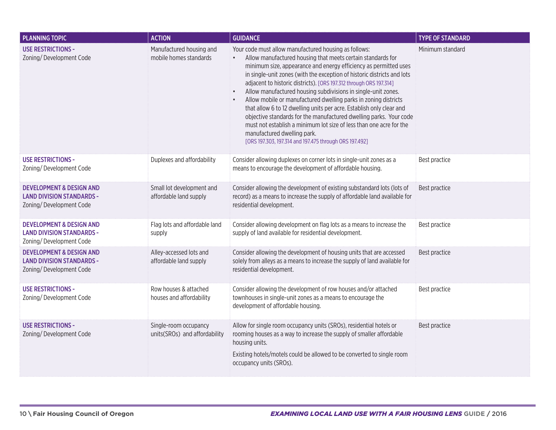| <b>PLANNING TOPIC</b>                                                                              | <b>ACTION</b>                                          | <b>GUIDANCE</b>                                                                                                                                                                                                                                                                                                                                                                                                                                                                                                                                                                                                                                                                                                                                                                                                                    | <b>TYPE OF STANDARD</b> |
|----------------------------------------------------------------------------------------------------|--------------------------------------------------------|------------------------------------------------------------------------------------------------------------------------------------------------------------------------------------------------------------------------------------------------------------------------------------------------------------------------------------------------------------------------------------------------------------------------------------------------------------------------------------------------------------------------------------------------------------------------------------------------------------------------------------------------------------------------------------------------------------------------------------------------------------------------------------------------------------------------------------|-------------------------|
| <b>USE RESTRICTIONS -</b><br>Zoning/Development Code                                               | Manufactured housing and<br>mobile homes standards     | Your code must allow manufactured housing as follows:<br>Allow manufactured housing that meets certain standards for<br>$\bullet$<br>minimum size, appearance and energy efficiency as permitted uses<br>in single-unit zones (with the exception of historic districts and lots<br>adjacent to historic districts). [ORS 197.312 through ORS 197.314]<br>Allow manufactured housing subdivisions in single-unit zones.<br>$\bullet$<br>Allow mobile or manufactured dwelling parks in zoning districts<br>$\bullet$<br>that allow 6 to 12 dwelling units per acre. Establish only clear and<br>objective standards for the manufactured dwelling parks. Your code<br>must not establish a minimum lot size of less than one acre for the<br>manufactured dwelling park.<br>[ORS 197.303, 197.314 and 197.475 through ORS 197.492] | Minimum standard        |
| <b>USE RESTRICTIONS -</b><br>Zoning/Development Code                                               | Duplexes and affordability                             | Consider allowing duplexes on corner lots in single-unit zones as a<br>means to encourage the development of affordable housing.                                                                                                                                                                                                                                                                                                                                                                                                                                                                                                                                                                                                                                                                                                   | Best practice           |
| <b>DEVELOPMENT &amp; DESIGN AND</b><br><b>LAND DIVISION STANDARDS -</b><br>Zoning/Development Code | Small lot development and<br>affordable land supply    | Consider allowing the development of existing substandard lots (lots of<br>record) as a means to increase the supply of affordable land available for<br>residential development.                                                                                                                                                                                                                                                                                                                                                                                                                                                                                                                                                                                                                                                  | Best practice           |
| <b>DEVELOPMENT &amp; DESIGN AND</b><br><b>LAND DIVISION STANDARDS -</b><br>Zoning/Development Code | Flag lots and affordable land<br>supply                | Consider allowing development on flag lots as a means to increase the<br>supply of land available for residential development.                                                                                                                                                                                                                                                                                                                                                                                                                                                                                                                                                                                                                                                                                                     | Best practice           |
| <b>DEVELOPMENT &amp; DESIGN AND</b><br><b>LAND DIVISION STANDARDS -</b><br>Zoning/Development Code | Alley-accessed lots and<br>affordable land supply      | Consider allowing the development of housing units that are accessed<br>solely from alleys as a means to increase the supply of land available for<br>residential development.                                                                                                                                                                                                                                                                                                                                                                                                                                                                                                                                                                                                                                                     | Best practice           |
| <b>USE RESTRICTIONS -</b><br>Zoning/Development Code                                               | Row houses & attached<br>houses and affordability      | Consider allowing the development of row houses and/or attached<br>townhouses in single-unit zones as a means to encourage the<br>development of affordable housing.                                                                                                                                                                                                                                                                                                                                                                                                                                                                                                                                                                                                                                                               | Best practice           |
| <b>USE RESTRICTIONS -</b><br>Zoning/Development Code                                               | Single-room occupancy<br>units(SROs) and affordability | Allow for single room occupancy units (SROs), residential hotels or<br>rooming houses as a way to increase the supply of smaller affordable<br>housing units.<br>Existing hotels/motels could be allowed to be converted to single room<br>occupancy units (SROs).                                                                                                                                                                                                                                                                                                                                                                                                                                                                                                                                                                 | Best practice           |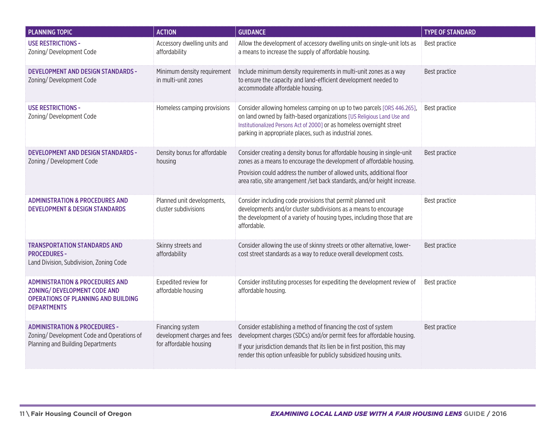| <b>PLANNING TOPIC</b>                                                                                                                                 | <b>ACTION</b>                                                              | <b>GUIDANCE</b>                                                                                                                                                                                                                                                                                       | <b>TYPE OF STANDARD</b> |
|-------------------------------------------------------------------------------------------------------------------------------------------------------|----------------------------------------------------------------------------|-------------------------------------------------------------------------------------------------------------------------------------------------------------------------------------------------------------------------------------------------------------------------------------------------------|-------------------------|
| <b>USE RESTRICTIONS -</b><br>Zoning/Development Code                                                                                                  | Accessory dwelling units and<br>affordability                              | Allow the development of accessory dwelling units on single-unit lots as<br>a means to increase the supply of affordable housing.                                                                                                                                                                     | Best practice           |
| <b>DEVELOPMENT AND DESIGN STANDARDS -</b><br>Zoning/Development Code                                                                                  | Minimum density requirement<br>in multi-unit zones                         | Include minimum density requirements in multi-unit zones as a way<br>to ensure the capacity and land-efficient development needed to<br>accommodate affordable housing.                                                                                                                               | Best practice           |
| <b>USE RESTRICTIONS -</b><br>Zoning/Development Code                                                                                                  | Homeless camping provisions                                                | Consider allowing homeless camping on up to two parcels [ORS 446.265],<br>on land owned by faith-based organizations [US Religious Land Use and<br>Institutionalized Persons Act of 2000] or as homeless overnight street<br>parking in appropriate places, such as industrial zones.                 | Best practice           |
| <b>DEVELOPMENT AND DESIGN STANDARDS -</b><br>Zoning / Development Code                                                                                | Density bonus for affordable<br>housing                                    | Consider creating a density bonus for affordable housing in single-unit<br>zones as a means to encourage the development of affordable housing.<br>Provision could address the number of allowed units, additional floor<br>area ratio, site arrangement /set back standards, and/or height increase. | Best practice           |
| <b>ADMINISTRATION &amp; PROCEDURES AND</b><br><b>DEVELOPMENT &amp; DESIGN STANDARDS</b>                                                               | Planned unit developments,<br>cluster subdivisions                         | Consider including code provisions that permit planned unit<br>developments and/or cluster subdivisions as a means to encourage<br>the development of a variety of housing types, including those that are<br>affordable.                                                                             | Best practice           |
| <b>TRANSPORTATION STANDARDS AND</b><br><b>PROCEDURES -</b><br>Land Division, Subdivision, Zoning Code                                                 | Skinny streets and<br>affordability                                        | Consider allowing the use of skinny streets or other alternative, lower-<br>cost street standards as a way to reduce overall development costs.                                                                                                                                                       | Best practice           |
| <b>ADMINISTRATION &amp; PROCEDURES AND</b><br><b>ZONING/ DEVELOPMENT CODE AND</b><br><b>OPERATIONS OF PLANNING AND BUILDING</b><br><b>DEPARTMENTS</b> | Expedited review for<br>affordable housing                                 | Consider instituting processes for expediting the development review of<br>affordable housing.                                                                                                                                                                                                        | Best practice           |
| <b>ADMINISTRATION &amp; PROCEDURES -</b><br>Zoning/ Development Code and Operations of<br>Planning and Building Departments                           | Financing system<br>development charges and fees<br>for affordable housing | Consider establishing a method of financing the cost of system<br>development charges (SDCs) and/or permit fees for affordable housing.<br>If your jurisdiction demands that its lien be in first position, this may<br>render this option unfeasible for publicly subsidized housing units.          | Best practice           |